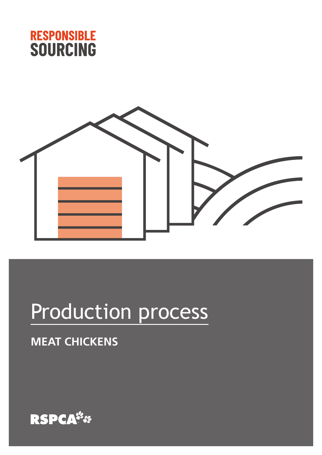



# Production process

## **MEAT CHICKENS**

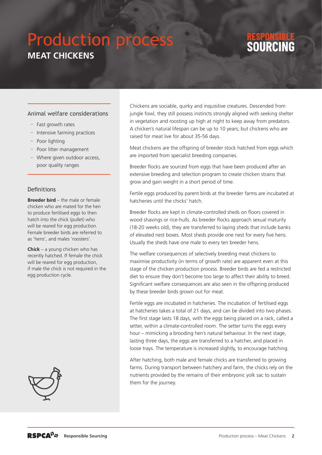## Production process **MEAT CHICKENS**

### Animal welfare considerations

- Fast growth rates
- Intensive farming practices
- Poor lighting
- Poor litter management
- Where given outdoor access, poor quality ranges

### Definitions

**Breeder bird** – the male or female chicken who are mated for the hen to produce fertilised eggs to then hatch into the chick (pullet) who will be reared for egg production. Female breeder birds are referred to as 'hens', and males 'roosters'.

**Chick** – a young chicken who has recently hatched. If female the chick will be reared for egg production, if male the chick is not required in the egg production cycle.



Chickens are sociable, quirky and inquisitive creatures. Descended from jungle fowl, they still possess instincts strongly aligned with seeking shelter in vegetation and roosting up high at night to keep away from predators. A chicken's natural lifespan can be up to 10 years; but chickens who are raised for meat live for about 35-56 days.

Meat chickens are the offspring of breeder stock hatched from eggs which are imported from specialist breeding companies.

Breeder flocks are sourced from eggs that have been produced after an extensive breeding and selection program to create chicken strains that grow and gain weight in a short period of time.

Fertile eggs produced by parent birds at the breeder farms are incubated at hatcheries until the chicks' hatch.

Breeder flocks are kept in climate-controlled sheds on floors covered in wood shavings or rice-hulls. As breeder flocks approach sexual maturity (18-20 weeks old), they are transferred to laying sheds that include banks of elevated nest boxes. Most sheds provide one nest for every five hens. Usually the sheds have one male to every ten breeder hens.

The welfare consequences of selectively breeding meat chickens to maximise productivity (in terms of growth rate) are apparent even at this stage of the chicken production process. Breeder birds are fed a restricted diet to ensure they don't become too large to affect their ability to breed. Significant welfare consequences are also seen in the offspring produced by these breeder birds grown out for meat.

Fertile eggs are incubated in hatcheries. The incubation of fertilised eggs at hatcheries takes a total of 21 days, and can be divided into two phases. The first stage lasts 18 days, with the eggs being placed on a rack, called a setter, within a climate-controlled room. The setter turns the eggs every hour – mimicking a brooding hen's natural behaviour. In the next stage, lasting three days, the eggs are transferred to a hatcher, and placed in loose trays. The temperature is increased slightly, to encourage hatching.

After hatching, both male and female chicks are transferred to growing farms. During transport between hatchery and farm, the chicks rely on the nutrients provided by the remains of their embryonic yolk sac to sustain them for the journey.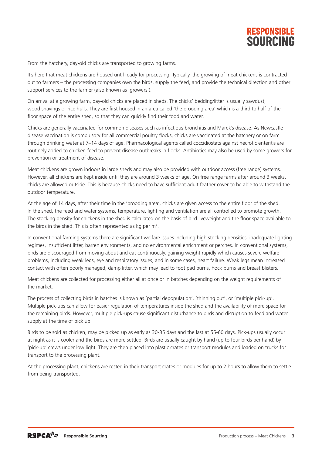

From the hatchery, day-old chicks are transported to growing farms.

It's here that meat chickens are housed until ready for processing. Typically, the growing of meat chickens is contracted out to farmers – the processing companies own the birds, supply the feed, and provide the technical direction and other support services to the farmer (also known as 'growers').

On arrival at a growing farm, day-old chicks are placed in sheds. The chicks' bedding/litter is usually sawdust, wood shavings or rice hulls. They are first housed in an area called 'the brooding area' which is a third to half of the floor space of the entire shed, so that they can quickly find their food and water.

Chicks are generally vaccinated for common diseases such as infectious bronchitis and Marek's disease. As Newcastle disease vaccination is compulsory for all commercial poultry flocks, chicks are vaccinated at the hatchery or on farm through drinking water at 7–14 days of age. Pharmacological agents called coccidiostats against necrotic enteritis are routinely added to chicken feed to prevent disease outbreaks in flocks. Antibiotics may also be used by some growers for prevention or treatment of disease.

Meat chickens are grown indoors in large sheds and may also be provided with outdoor access (free range) systems. However, all chickens are kept inside until they are around 3 weeks of age. On free range farms after around 3 weeks, chicks are allowed outside. This is because chicks need to have sufficient adult feather cover to be able to withstand the outdoor temperature.

At the age of 14 days, after their time in the 'brooding area', chicks are given access to the entire floor of the shed. In the shed, the feed and water systems, temperature, lighting and ventilation are all controlled to promote growth. The stocking density for chickens in the shed is calculated on the basis of bird liveweight and the floor space available to the birds in the shed. This is often represented as kg per  $m^2$ .

In conventional farming systems there are significant welfare issues including high stocking densities, inadequate lighting regimes, insufficient litter, barren environments, and no environmental enrichment or perches. In conventional systems, birds are discouraged from moving about and eat continuously, gaining weight rapidly which causes severe welfare problems, including weak legs, eye and respiratory issues, and in some cases, heart failure. Weak legs mean increased contact with often poorly managed, damp litter, which may lead to foot pad burns, hock burns and breast blisters.

Meat chickens are collected for processing either all at once or in batches depending on the weight requirements of the market.

The process of collecting birds in batches is known as 'partial depopulation', 'thinning out', or 'multiple pick-up'. Multiple pick-ups can allow for easier regulation of temperatures inside the shed and the availability of more space for the remaining birds. However, multiple pick-ups cause significant disturbance to birds and disruption to feed and water supply at the time of pick up.

Birds to be sold as chicken, may be picked up as early as 30-35 days and the last at 55-60 days. Pick-ups usually occur at night as it is cooler and the birds are more settled. Birds are usually caught by hand (up to four birds per hand) by 'pick-up' crews under low light. They are then placed into plastic crates or transport modules and loaded on trucks for transport to the processing plant.

At the processing plant, chickens are rested in their transport crates or modules for up to 2 hours to allow them to settle from being transported.